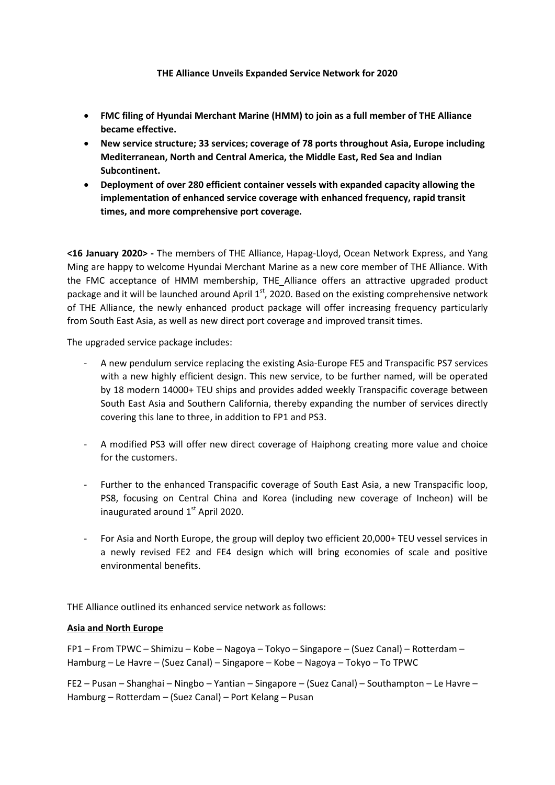# **THE Alliance Unveils Expanded Service Network for 2020**

- **FMC filing of Hyundai Merchant Marine (HMM) to join as a full member of THE Alliance became effective.**
- **New service structure; 33 services; coverage of 78 ports throughout Asia, Europe including Mediterranean, North and Central America, the Middle East, Red Sea and Indian Subcontinent.**
- **Deployment of over 280 efficient container vessels with expanded capacity allowing the implementation of enhanced service coverage with enhanced frequency, rapid transit times, and more comprehensive port coverage.**

**<16 January 2020> -** The members of THE Alliance, Hapag-Lloyd, Ocean Network Express, and Yang Ming are happy to welcome Hyundai Merchant Marine as a new core member of THE Alliance. With the FMC acceptance of HMM membership, THE Alliance offers an attractive upgraded product package and it will be launched around April 1<sup>st</sup>, 2020. Based on the existing comprehensive network of THE Alliance, the newly enhanced product package will offer increasing frequency particularly from South East Asia, as well as new direct port coverage and improved transit times.

The upgraded service package includes:

- A new pendulum service replacing the existing Asia-Europe FE5 and Transpacific PS7 services with a new highly efficient design. This new service, to be further named, will be operated by 18 modern 14000+ TEU ships and provides added weekly Transpacific coverage between South East Asia and Southern California, thereby expanding the number of services directly covering this lane to three, in addition to FP1 and PS3.
- A modified PS3 will offer new direct coverage of Haiphong creating more value and choice for the customers.
- Further to the enhanced Transpacific coverage of South East Asia, a new Transpacific loop, PS8, focusing on Central China and Korea (including new coverage of Incheon) will be inaugurated around  $1<sup>st</sup>$  April 2020.
- For Asia and North Europe, the group will deploy two efficient 20,000+ TEU vessel services in a newly revised FE2 and FE4 design which will bring economies of scale and positive environmental benefits.

THE Alliance outlined its enhanced service network as follows:

# **Asia and North Europe**

FP1 – From TPWC – Shimizu – Kobe – Nagoya – Tokyo – Singapore – (Suez Canal) – Rotterdam – Hamburg – Le Havre – (Suez Canal) – Singapore – Kobe – Nagoya – Tokyo – To TPWC

FE2 – Pusan – Shanghai – Ningbo – Yantian – Singapore – (Suez Canal) – Southampton – Le Havre – Hamburg – Rotterdam – (Suez Canal) – Port Kelang – Pusan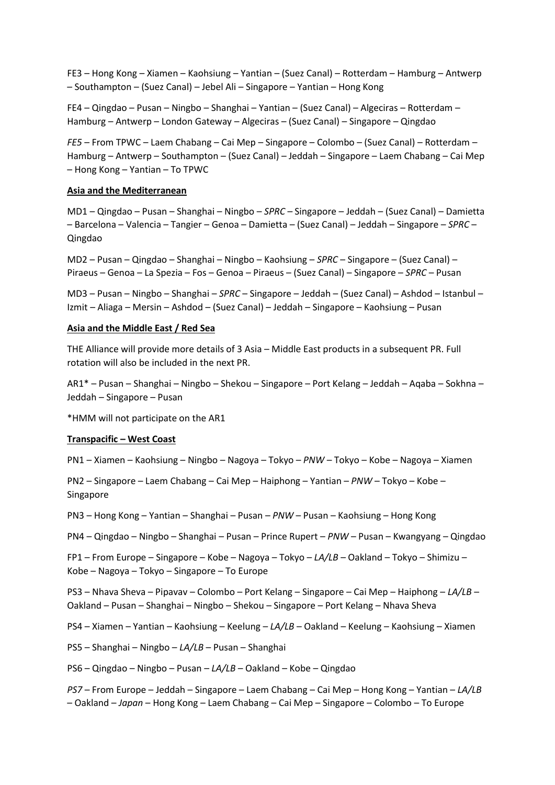FE3 – Hong Kong – Xiamen – Kaohsiung – Yantian – (Suez Canal) – Rotterdam – Hamburg – Antwerp – Southampton – (Suez Canal) – Jebel Ali – Singapore – Yantian – Hong Kong

FE4 – Qingdao – Pusan – Ningbo – Shanghai – Yantian – (Suez Canal) – Algeciras – Rotterdam – Hamburg – Antwerp – London Gateway – Algeciras – (Suez Canal) – Singapore – Qingdao

*FE5* – From TPWC – Laem Chabang – Cai Mep – Singapore – Colombo – (Suez Canal) – Rotterdam – Hamburg – Antwerp – Southampton – (Suez Canal) – Jeddah – Singapore – Laem Chabang – Cai Mep – Hong Kong – Yantian – To TPWC

### **Asia and the Mediterranean**

MD1 – Qingdao – Pusan – Shanghai – Ningbo – *SPRC* – Singapore – Jeddah – (Suez Canal) – Damietta – Barcelona – Valencia – Tangier – Genoa – Damietta – (Suez Canal) – Jeddah – Singapore – *SPRC* – Qingdao

MD2 – Pusan – Qingdao – Shanghai – Ningbo – Kaohsiung – *SPRC* – Singapore – (Suez Canal) – Piraeus – Genoa – La Spezia – Fos – Genoa – Piraeus – (Suez Canal) – Singapore – *SPRC* – Pusan

MD3 – Pusan – Ningbo – Shanghai – *SPRC* – Singapore – Jeddah – (Suez Canal) – Ashdod – Istanbul – Izmit – Aliaga – Mersin – Ashdod – (Suez Canal) – Jeddah – Singapore – Kaohsiung – Pusan

#### **Asia and the Middle East / Red Sea**

THE Alliance will provide more details of 3 Asia – Middle East products in a subsequent PR. Full rotation will also be included in the next PR.

AR1\* – Pusan – Shanghai – Ningbo – Shekou – Singapore – Port Kelang – Jeddah – Aqaba – Sokhna – Jeddah – Singapore – Pusan

\*HMM will not participate on the AR1

### **Transpacific – West Coast**

PN1 – Xiamen – Kaohsiung – Ningbo – Nagoya – Tokyo – *PNW* – Tokyo – Kobe – Nagoya – Xiamen

PN2 – Singapore – Laem Chabang – Cai Mep – Haiphong – Yantian – *PNW* – Tokyo – Kobe – Singapore

PN3 – Hong Kong – Yantian – Shanghai – Pusan – *PNW* – Pusan – Kaohsiung – Hong Kong

PN4 – Qingdao – Ningbo – Shanghai – Pusan – Prince Rupert – *PNW* – Pusan – Kwangyang – Qingdao

FP1 – From Europe – Singapore – Kobe – Nagoya – Tokyo – *LA/LB* – Oakland – Tokyo – Shimizu – Kobe – Nagoya – Tokyo – Singapore – To Europe

PS3 – Nhava Sheva – Pipavav – Colombo – Port Kelang – Singapore – Cai Mep – Haiphong – *LA/LB* – Oakland – Pusan – Shanghai – Ningbo – Shekou – Singapore – Port Kelang – Nhava Sheva

PS4 – Xiamen – Yantian – Kaohsiung – Keelung – *LA/LB* – Oakland – Keelung – Kaohsiung – Xiamen

PS5 – Shanghai – Ningbo – *LA/LB* – Pusan – Shanghai

PS6 – Qingdao – Ningbo – Pusan – *LA/LB* – Oakland – Kobe – Qingdao

*PS7* – From Europe – Jeddah – Singapore – Laem Chabang – Cai Mep – Hong Kong – Yantian – *LA/LB* – Oakland – *Japan* – Hong Kong – Laem Chabang – Cai Mep – Singapore – Colombo – To Europe